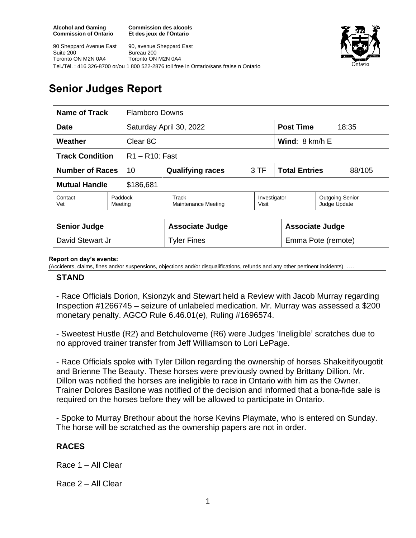Toronto ON M2N 0A4

Suite 200

90 Sheppard Avenue East

**Commission des alcools Et des jeux de l'Ontario**

90, avenue Sheppard East

Toronto ON M2N 0A4

Bureau 200





# **Senior Judges Report**

| <b>Name of Track</b><br><b>Flamboro Downs</b> |                    |                                     |                       |                                 |                                        |  |
|-----------------------------------------------|--------------------|-------------------------------------|-----------------------|---------------------------------|----------------------------------------|--|
| <b>Date</b>                                   |                    | Saturday April 30, 2022             |                       | <b>Post Time</b>                | 18:35                                  |  |
| Weather<br>Clear 8C                           |                    |                                     |                       | <b>Wind:</b> $8 \text{ km/h}$ E |                                        |  |
| <b>Track Condition</b><br>$R1 - R10$ : Fast   |                    |                                     |                       |                                 |                                        |  |
| <b>Number of Races</b><br>10                  |                    | <b>Qualifying races</b>             | 3 TF                  | <b>Total Entries</b><br>88/105  |                                        |  |
| <b>Mutual Handle</b><br>\$186,681             |                    |                                     |                       |                                 |                                        |  |
| Contact<br>Vet                                | Paddock<br>Meeting | Track<br><b>Maintenance Meeting</b> | Investigator<br>Visit |                                 | <b>Outgoing Senior</b><br>Judge Update |  |
|                                               |                    |                                     |                       |                                 |                                        |  |
| <b>Senior Judge</b>                           |                    | <b>Associate Judge</b>              |                       |                                 | <b>Associate Judge</b>                 |  |
| David Stewart Jr                              |                    | <b>Tyler Fines</b>                  |                       |                                 | Emma Pote (remote)                     |  |

#### **Report on day's events:**

(Accidents, claims, fines and/or suspensions, objections and/or disqualifications, refunds and any other pertinent incidents) ….

#### **STAND**

- Race Officials Dorion, Ksionzyk and Stewart held a Review with Jacob Murray regarding Inspection #1266745 – seizure of unlabeled medication. Mr. Murray was assessed a \$200 monetary penalty. AGCO Rule 6.46.01(e), Ruling #1696574.

- Sweetest Hustle (R2) and Betchuloveme (R6) were Judges 'Ineligible' scratches due to no approved trainer transfer from Jeff Williamson to Lori LePage.

- Race Officials spoke with Tyler Dillon regarding the ownership of horses Shakeitifyougotit and Brienne The Beauty. These horses were previously owned by Brittany Dillion. Mr. Dillon was notified the horses are ineligible to race in Ontario with him as the Owner. Trainer Dolores Basilone was notified of the decision and informed that a bona-fide sale is required on the horses before they will be allowed to participate in Ontario.

- Spoke to Murray Brethour about the horse Kevins Playmate, who is entered on Sunday. The horse will be scratched as the ownership papers are not in order.

### **RACES**

Race 1 – All Clear

Race 2 – All Clear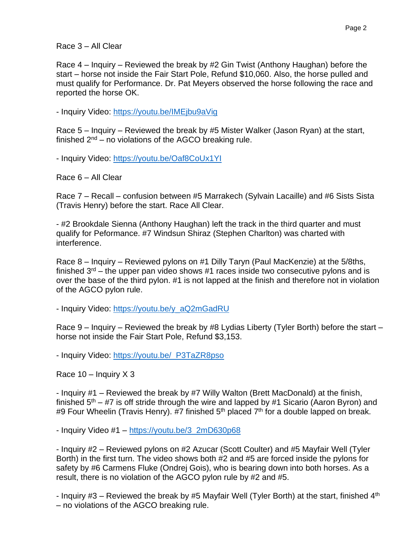Race 3 – All Clear

Race 4 – Inquiry – Reviewed the break by #2 Gin Twist (Anthony Haughan) before the start – horse not inside the Fair Start Pole, Refund \$10,060. Also, the horse pulled and must qualify for Performance. Dr. Pat Meyers observed the horse following the race and reported the horse OK.

- Inquiry Video:<https://youtu.be/IMEjbu9aVig>

Race 5 – Inquiry – Reviewed the break by #5 Mister Walker (Jason Ryan) at the start, finished  $2^{nd}$  – no violations of the AGCO breaking rule.

- Inquiry Video:<https://youtu.be/Oaf8CoUx1YI>

Race 6 – All Clear

Race 7 – Recall – confusion between #5 Marrakech (Sylvain Lacaille) and #6 Sists Sista (Travis Henry) before the start. Race All Clear.

- #2 Brookdale Sienna (Anthony Haughan) left the track in the third quarter and must qualify for Peformance. #7 Windsun Shiraz (Stephen Charlton) was charted with interference.

Race 8 – Inquiry – Reviewed pylons on #1 Dilly Taryn (Paul MacKenzie) at the 5/8ths, finished  $3<sup>rd</sup>$  – the upper pan video shows #1 races inside two consecutive pylons and is over the base of the third pylon. #1 is not lapped at the finish and therefore not in violation of the AGCO pylon rule.

- Inquiry Video: [https://youtu.be/y\\_aQ2mGadRU](https://youtu.be/y_aQ2mGadRU)

Race 9 – Inquiry – Reviewed the break by #8 Lydias Liberty (Tyler Borth) before the start – horse not inside the Fair Start Pole, Refund \$3,153.

- Inquiry Video: [https://youtu.be/\\_P3TaZR8pso](https://youtu.be/_P3TaZR8pso)

Race  $10 -$  Inquiry  $X$  3

- Inquiry #1 – Reviewed the break by #7 Willy Walton (Brett MacDonald) at the finish, finished  $5<sup>th</sup> - #7$  is off stride through the wire and lapped by #1 Sicario (Aaron Byron) and #9 Four Wheelin (Travis Henry). #7 finished  $5<sup>th</sup>$  placed  $7<sup>th</sup>$  for a double lapped on break.

- Inquiry Video #1 – [https://youtu.be/3\\_2mD630p68](https://youtu.be/3_2mD630p68)

- Inquiry #2 – Reviewed pylons on #2 Azucar (Scott Coulter) and #5 Mayfair Well (Tyler Borth) in the first turn. The video shows both #2 and #5 are forced inside the pylons for safety by #6 Carmens Fluke (Ondrej Gois), who is bearing down into both horses. As a result, there is no violation of the AGCO pylon rule by #2 and #5.

- Inquiry  $#3$  – Reviewed the break by  $#5$  Mayfair Well (Tyler Borth) at the start, finished  $4<sup>th</sup>$ – no violations of the AGCO breaking rule.